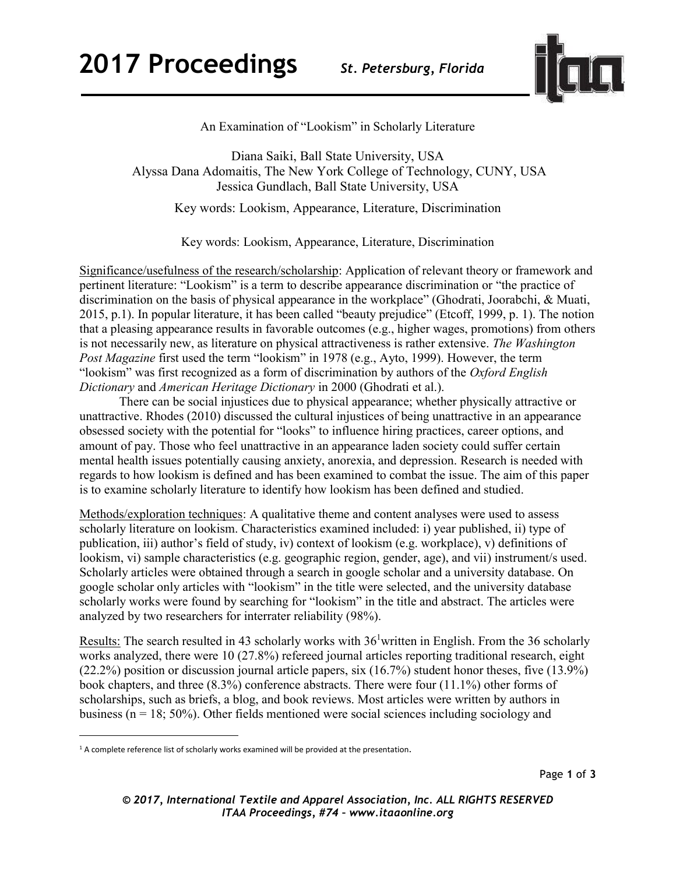

An Examination of "Lookism" in Scholarly Literature

Diana Saiki, Ball State University, USA Alyssa Dana Adomaitis, The New York College of Technology, CUNY, USA Jessica Gundlach, Ball State University, USA

Key words: Lookism, Appearance, Literature, Discrimination

Key words: Lookism, Appearance, Literature, Discrimination

Significance/usefulness of the research/scholarship: Application of relevant theory or framework and pertinent literature: "Lookism" is a term to describe appearance discrimination or "the practice of discrimination on the basis of physical appearance in the workplace" (Ghodrati, Joorabchi, & Muati, 2015, p.1). In popular literature, it has been called "beauty prejudice" (Etcoff, 1999, p. 1). The notion that a pleasing appearance results in favorable outcomes (e.g., higher wages, promotions) from others is not necessarily new, as literature on physical attractiveness is rather extensive. *The Washington Post Magazine* first used the term "lookism" in 1978 (e.g., Ayto, 1999). However, the term "lookism" was first recognized as a form of discrimination by authors of the *Oxford English Dictionary* and *American Heritage Dictionary* in 2000 (Ghodrati et al.).

There can be social injustices due to physical appearance; whether physically attractive or unattractive. Rhodes (2010) discussed the cultural injustices of being unattractive in an appearance obsessed society with the potential for "looks" to influence hiring practices, career options, and amount of pay. Those who feel unattractive in an appearance laden society could suffer certain mental health issues potentially causing anxiety, anorexia, and depression. Research is needed with regards to how lookism is defined and has been examined to combat the issue. The aim of this paper is to examine scholarly literature to identify how lookism has been defined and studied.

Methods/exploration techniques: A qualitative theme and content analyses were used to assess scholarly literature on lookism. Characteristics examined included: i) year published, ii) type of publication, iii) author's field of study, iv) context of lookism (e.g. workplace), v) definitions of lookism, vi) sample characteristics (e.g. geographic region, gender, age), and vii) instrument/s used. Scholarly articles were obtained through a search in google scholar and a university database. On google scholar only articles with "lookism" in the title were selected, and the university database scholarly works were found by searching for "lookism" in the title and abstract. The articles were analyzed by two researchers for interrater reliability (98%).

<u>Results:</u> The search resulted in 43 scholarly works with  $36<sup>1</sup>$  written in English. From the 36 scholarly works analyzed, there were 10 (27.8%) refereed journal articles reporting traditional research, eight (22.2%) position or discussion journal article papers, six (16.7%) student honor theses, five (13.9%) book chapters, and three (8.3%) conference abstracts. There were four (11.1%) other forms of scholarships, such as briefs, a blog, and book reviews. Most articles were written by authors in business ( $n = 18$ ; 50%). Other fields mentioned were social sciences including sociology and

 $\overline{\phantom{a}}$ 

 $1A$  complete reference list of scholarly works examined will be provided at the presentation.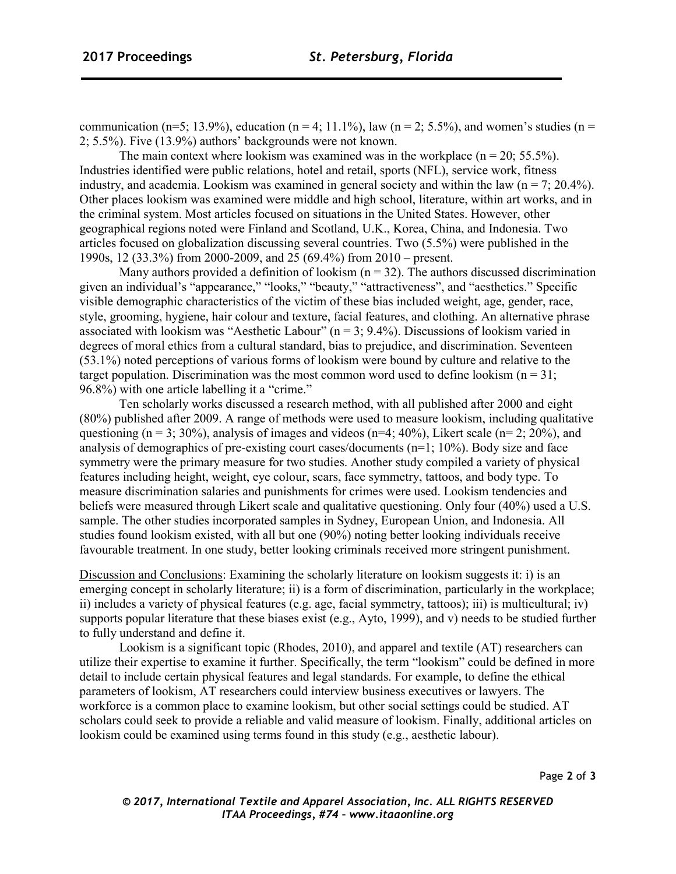communication (n=5; 13.9%), education (n = 4; 11.1%), law (n = 2; 5.5%), and women's studies (n = 2; 5.5%). Five (13.9%) authors' backgrounds were not known.

The main context where lookism was examined was in the workplace  $(n = 20; 55.5\%)$ . Industries identified were public relations, hotel and retail, sports (NFL), service work, fitness industry, and academia. Lookism was examined in general society and within the law ( $n = 7$ ; 20.4%). Other places lookism was examined were middle and high school, literature, within art works, and in the criminal system. Most articles focused on situations in the United States. However, other geographical regions noted were Finland and Scotland, U.K., Korea, China, and Indonesia. Two articles focused on globalization discussing several countries. Two (5.5%) were published in the 1990s, 12 (33.3%) from 2000-2009, and 25 (69.4%) from 2010 – present.

Many authors provided a definition of lookism  $(n = 32)$ . The authors discussed discrimination given an individual's "appearance," "looks," "beauty," "attractiveness", and "aesthetics." Specific visible demographic characteristics of the victim of these bias included weight, age, gender, race, style, grooming, hygiene, hair colour and texture, facial features, and clothing. An alternative phrase associated with lookism was "Aesthetic Labour" ( $n = 3$ ; 9.4%). Discussions of lookism varied in degrees of moral ethics from a cultural standard, bias to prejudice, and discrimination. Seventeen (53.1%) noted perceptions of various forms of lookism were bound by culture and relative to the target population. Discrimination was the most common word used to define lookism  $(n = 31;$ 96.8%) with one article labelling it a "crime."

Ten scholarly works discussed a research method, with all published after 2000 and eight (80%) published after 2009. A range of methods were used to measure lookism, including qualitative questioning (n = 3; 30%), analysis of images and videos (n=4; 40%), Likert scale (n= 2; 20%), and analysis of demographics of pre-existing court cases/documents (n=1; 10%). Body size and face symmetry were the primary measure for two studies. Another study compiled a variety of physical features including height, weight, eye colour, scars, face symmetry, tattoos, and body type. To measure discrimination salaries and punishments for crimes were used. Lookism tendencies and beliefs were measured through Likert scale and qualitative questioning. Only four (40%) used a U.S. sample. The other studies incorporated samples in Sydney, European Union, and Indonesia. All studies found lookism existed, with all but one (90%) noting better looking individuals receive favourable treatment. In one study, better looking criminals received more stringent punishment.

Discussion and Conclusions: Examining the scholarly literature on lookism suggests it: i) is an emerging concept in scholarly literature; ii) is a form of discrimination, particularly in the workplace; ii) includes a variety of physical features (e.g. age, facial symmetry, tattoos); iii) is multicultural; iv) supports popular literature that these biases exist (e.g., Ayto, 1999), and v) needs to be studied further to fully understand and define it.

Lookism is a significant topic (Rhodes, 2010), and apparel and textile (AT) researchers can utilize their expertise to examine it further. Specifically, the term "lookism" could be defined in more detail to include certain physical features and legal standards. For example, to define the ethical parameters of lookism, AT researchers could interview business executives or lawyers. The workforce is a common place to examine lookism, but other social settings could be studied. AT scholars could seek to provide a reliable and valid measure of lookism. Finally, additional articles on lookism could be examined using terms found in this study (e.g., aesthetic labour).

*© 2017, International Textile and Apparel Association, Inc. ALL RIGHTS RESERVED ITAA Proceedings, #74 – www.itaaonline.org*